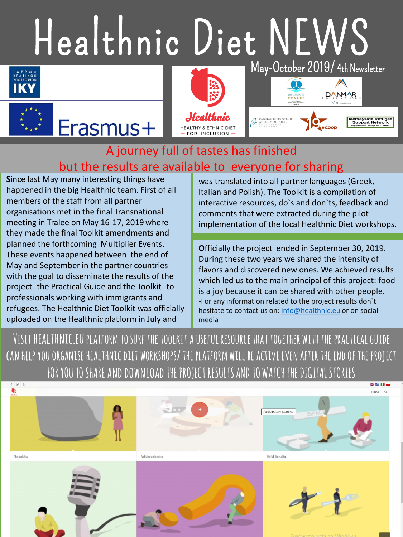## Healthnic Diet NEWS









## A journey full of tastes has finished but the results are available to everyone for sharing

**S**ince last May many interesting things have happened in the big Healthnic team. First of all members of the staff from all partner organisations met in the final Transnational meeting in Tralee on May 16-17, 2019 where they made the final Toolkit amendments and planned the forthcoming Multiplier Events. These events happened between the end of May and September in the partner countries with the goal to disseminate the results of the project- the Practical Guide and the Toolkit- to professionals working with immigrants and refugees. The Healthnic Diet Toolkit was officially uploaded on the Healthnic platform in July and

Erasmus+

was translated into all partner languages (Greek, Italian and Polish). The Toolkit is a compilation of interactive resources, do`s and don`ts, feedback and comments that were extracted during the pilot implementation of the local Healthnic Diet workshops.

**O**fficially the project ended in September 30, 2019. During these two years we shared the intensity of flavors and discovered new ones. We achieved results which led us to the main principal of this project: food is a joy because it can be shared with other people. -For any information related to the project results don`t hesitate to contact us on: [info@healthnic.eu](mailto:info@healthnic.eu) or on social media

**Visit healthnic.euplatform to surf the toolkit a useful resource that together with the practical guide can help you organisehealthnicdiet workshops/ the platform will be active even after the end of the project FOR YOU TO SHARE and download THE PROJECT RESULTS AND TO WATCH THE DIGITAL STORIES**